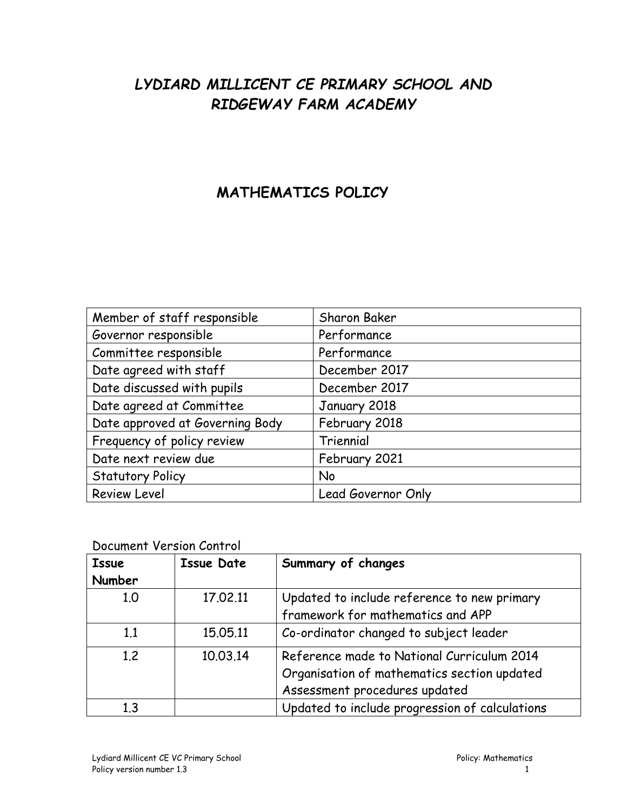# *LYDIARD MILLICENT CE PRIMARY SCHOOL AND RIDGEWAY FARM ACADEMY*

## **MATHEMATICS POLICY**

| Member of staff responsible     | Sharon Baker       |
|---------------------------------|--------------------|
| Governor responsible            | Performance        |
| Committee responsible           | Performance        |
| Date agreed with staff          | December 2017      |
| Date discussed with pupils      | December 2017      |
| Date agreed at Committee        | January 2018       |
| Date approved at Governing Body | February 2018      |
| Frequency of policy review      | Triennial          |
| Date next review due            | February 2021      |
| <b>Statutory Policy</b>         | No                 |
| <b>Review Level</b>             | Lead Governor Only |

## Document Version Control

| <b>Issue</b>  | <b>Issue Date</b> | Summary of changes                             |
|---------------|-------------------|------------------------------------------------|
| <b>Number</b> |                   |                                                |
| 1.0           | 17.02.11          | Updated to include reference to new primary    |
|               |                   | framework for mathematics and APP              |
| 1.1           | 15.05.11          | Co-ordinator changed to subject leader         |
| 1.2           | 10.03.14          | Reference made to National Curriculum 2014     |
|               |                   | Organisation of mathematics section updated    |
|               |                   | Assessment procedures updated                  |
| 1.3           |                   | Updated to include progression of calculations |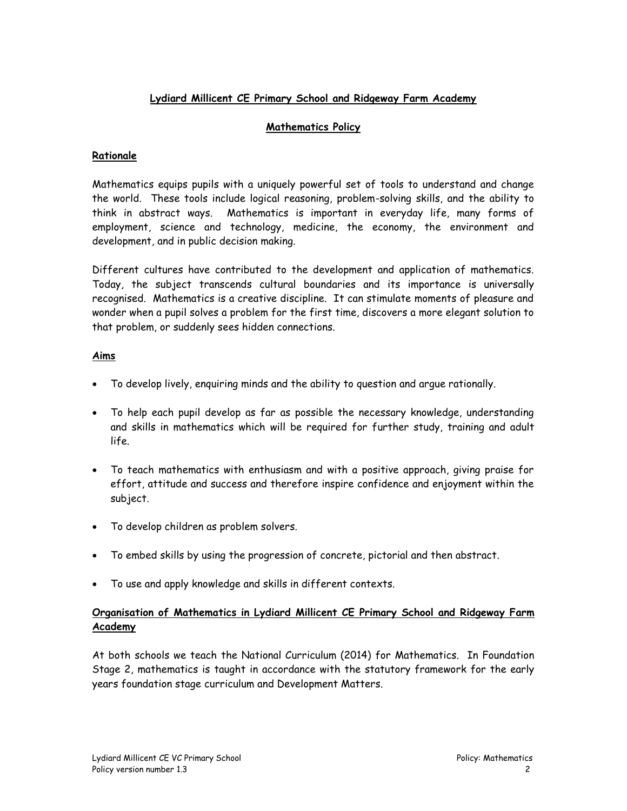## **Lydiard Millicent CE Primary School and Ridgeway Farm Academy**

## **Mathematics Policy**

#### **Rationale**

Mathematics equips pupils with a uniquely powerful set of tools to understand and change the world. These tools include logical reasoning, problem-solving skills, and the ability to think in abstract ways. Mathematics is important in everyday life, many forms of employment, science and technology, medicine, the economy, the environment and development, and in public decision making.

Different cultures have contributed to the development and application of mathematics. Today, the subject transcends cultural boundaries and its importance is universally recognised. Mathematics is a creative discipline. It can stimulate moments of pleasure and wonder when a pupil solves a problem for the first time, discovers a more elegant solution to that problem, or suddenly sees hidden connections.

## **Aims**

- To develop lively, enquiring minds and the ability to question and argue rationally.
- To help each pupil develop as far as possible the necessary knowledge, understanding and skills in mathematics which will be required for further study, training and adult life.
- To teach mathematics with enthusiasm and with a positive approach, giving praise for effort, attitude and success and therefore inspire confidence and enjoyment within the subject.
- To develop children as problem solvers.
- To embed skills by using the progression of concrete, pictorial and then abstract.
- To use and apply knowledge and skills in different contexts.

## **Organisation of Mathematics in Lydiard Millicent CE Primary School and Ridgeway Farm Academy**

At both schools we teach the National Curriculum (2014) for Mathematics. In Foundation Stage 2, mathematics is taught in accordance with the statutory framework for the early years foundation stage curriculum and Development Matters.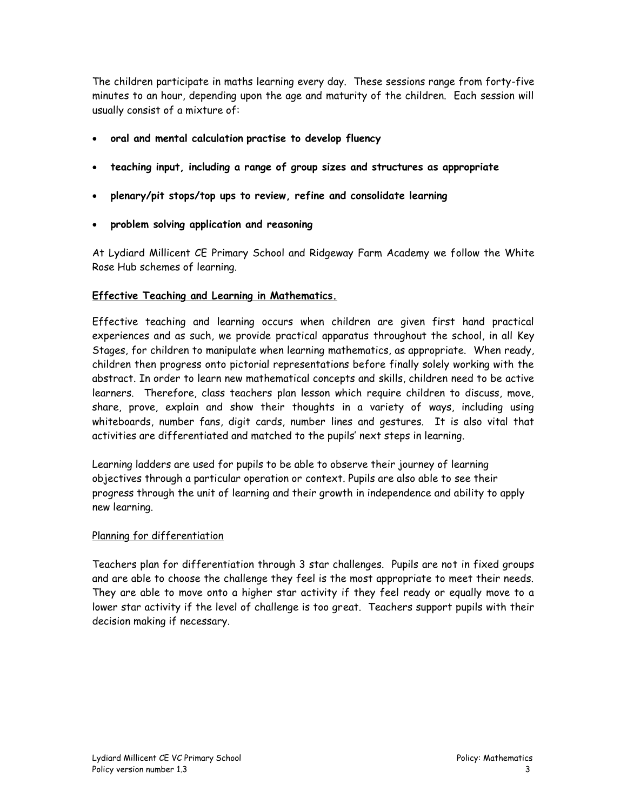The children participate in maths learning every day. These sessions range from forty-five minutes to an hour, depending upon the age and maturity of the children. Each session will usually consist of a mixture of:

- **oral and mental calculation practise to develop fluency**
- **teaching input, including a range of group sizes and structures as appropriate**
- **plenary/pit stops/top ups to review, refine and consolidate learning**
- **problem solving application and reasoning**

At Lydiard Millicent CE Primary School and Ridgeway Farm Academy we follow the White Rose Hub schemes of learning.

#### **Effective Teaching and Learning in Mathematics.**

Effective teaching and learning occurs when children are given first hand practical experiences and as such, we provide practical apparatus throughout the school, in all Key Stages, for children to manipulate when learning mathematics, as appropriate. When ready, children then progress onto pictorial representations before finally solely working with the abstract. In order to learn new mathematical concepts and skills, children need to be active learners. Therefore, class teachers plan lesson which require children to discuss, move, share, prove, explain and show their thoughts in a variety of ways, including using whiteboards, number fans, digit cards, number lines and gestures. It is also vital that activities are differentiated and matched to the pupils' next steps in learning.

Learning ladders are used for pupils to be able to observe their journey of learning objectives through a particular operation or context. Pupils are also able to see their progress through the unit of learning and their growth in independence and ability to apply new learning.

#### Planning for differentiation

Teachers plan for differentiation through 3 star challenges. Pupils are not in fixed groups and are able to choose the challenge they feel is the most appropriate to meet their needs. They are able to move onto a higher star activity if they feel ready or equally move to a lower star activity if the level of challenge is too great. Teachers support pupils with their decision making if necessary.